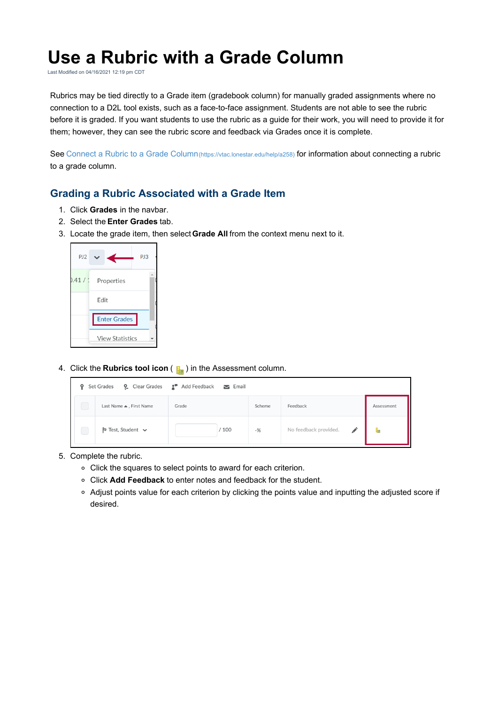## **Use a Rubric with a Grade Column**

Last Modified on 04/16/2021 12:19 pm CDT

Rubrics may be tied directly to a Grade item (gradebook column) for manually graded assignments where no connection to a D2L tool exists, such as a face-to-face assignment. Students are not able to see the rubric before it is graded. If you want students to use the rubric as a guide for their work, you will need to provide it for them; however, they can see the rubric score and feedback via Grades once it is complete.

See Connect a Rubric to a Grade Column(https://vtac.lonestar.edu/help/a258) for information about connecting a rubric to a grade column.

## **Grading a Rubric Associated with a Grade Item**

- 1. Click **Grades** in the navbar.
- 2. Select the **Enter Grades** tab.
- 3. Locate the grade item, then select**Grade All** from the context menu next to it.



4. Click the **Rubrics tool icon** ( ) in the Assessment column.



- 5. Complete the rubric.
	- Click the squares to select points to award for each criterion.
	- Click **Add Feedback** to enter notes and feedback for the student.
	- Adjust points value for each criterion by clicking the points value and inputting the adjusted score if desired.